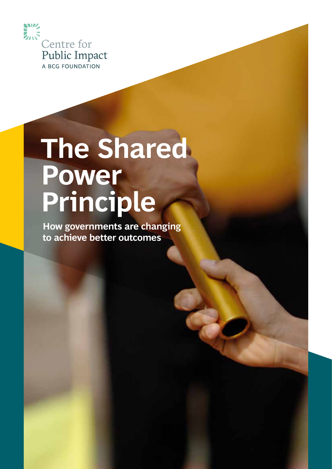

# **The Shared Power Principle**

**How governments are changing to achieve better outcomes**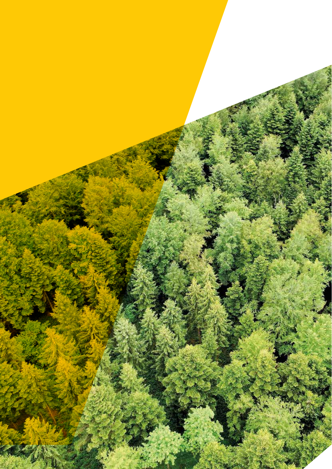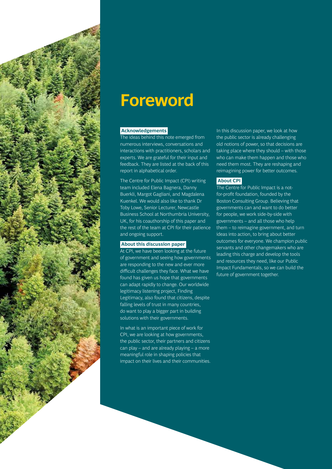

### **Foreword**

### **Acknowledgements**

The ideas behind this note emerged from numerous interviews, conversations and interactions with practitioners, scholars and experts. We are grateful for their input and feedback. They are listed at the back of this report in alphabetical order.

The Centre for Public Impact (CPI) writing team included Elena Bagnera, Danny Buerkli, Margot Gagliani, and Magdalena Kuenkel. We would also like to thank Dr Toby Lowe, Senior Lecturer, Newcastle Business School at Northumbria University, UK, for his coauthorship of this paper and the rest of the team at CPI for their patience and ongoing support.

### **About this discussion paper**

At CPI, we have been looking at the future of government and seeing how governments are responding to the new and ever more difficult challenges they face. What we have found has given us hope that governments can adapt rapidly to change. Our worldwide legitimacy listening project, Finding Legitimacy, also found that citizens, despite falling levels of trust in many countries, do want to play a bigger part in building solutions with their governments.

In what is an important piece of work for CPI, we are looking at how governments, the public sector, their partners and citizens can play – and are already playing – a more meaningful role in shaping policies that impact on their lives and their communities.

In this discussion paper, we look at how the public sector is already challenging old notions of power, so that decisions are taking place where they should – with those who can make them happen and those who need them most. They are reshaping and reimagining power for better outcomes.

### **About CPI**

The Centre for Public Impact is a notfor-profit foundation, founded by the Boston Consulting Group. Believing that governments can and want to do better for people, we work side-by-side with governments – and all those who help them – to reimagine government, and turn ideas into action, to bring about better outcomes for everyone. We champion public servants and other changemakers who are leading this charge and develop the tools and resources they need, like our Public Impact Fundamentals, so we can build the future of government together.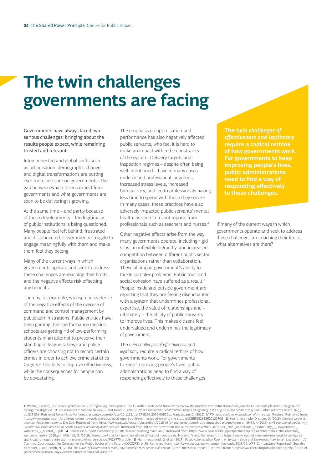# **The twin challenges governments are facing**

Governments have always faced two serious challenges: bringing about the results people expect, while remaining trusted and relevant.

Interconnected and global shifts such as urbanisation, demographic change and digital transformations are putting ever more pressure on governments. The gap between what citizens expect from governments and what governments are seen to be delivering is growing.

At the same time – and partly because of these developments – the legitimacy of public institutions is being questioned. Many people feel left behind, frustrated and disconnected. Governments struggle to engage meaningfully with them and make them feel they belong.

Many of the current ways in which governments operate and seek to address these challenges are reaching their limits, and the negative effects risk offsetting any benefits.

There is, for example, widespread evidence of the negative effects of the overuse of command and control management by public administrations. Public entities have been gaming their performance metrics: schools are getting rid of low-performing students in an attempt to preserve their standing in league tables, $1$  and police officers are choosing not to record certain crimes in order to achieve crime statistics targets.2 This fails to improve effectiveness, while the consequences for people can be devastating.

The emphasis on optimisation and performance has also negatively affected public servants, who feel it is hard to make an impact within the constraints of the system. Delivery targets and inspection regimes – despite often being well intentioned – have in many cases undermined professional judgment, increased stress levels, increased bureaucracy, and led to professionals having less time to spend with those they serve.<sup>3</sup> In many cases, these practices have also adversely impacted public servants' mental health, as seen in recent reports from professionals such as teachers and nurses.4

Other negative effects arise from the way many governments operate, including rigid silos, an inflexible hierarchy, and increased competition between different public sector organisations rather than collaboration. These all impair government's ability to tackle complex problems. Public trust and social cohesion have suffered as a result.<sup>5</sup> People inside and outside government are reporting that they are feeling disenchanted with a system that undermines professional expertise, the value of relationships and – ultimately – the ability of public servants to improve lives. This makes citizens feel undervalued and undermines the legitimacy of government.

The *twin challenges of effectiveness* and *legitimacy* require a radical rethink of how governments work. For governments to keep improving people's lives, public administrations need to find a way of responding effectively to these challenges.

**The** *twin challenges of effectiveness and legitimacy* **require a radical rethink of how governments work. For governments to keep improving people's lives, public administrations need to find a way of responding effectively to these challenges.**

If many of the current ways in which governments operate and seek to address these challenges are reaching their limits, what alternatives are there?

**1** Weale, S. (2018). *300 schools picked out in GCSE 'off-rolling' investigation.* The Guardian. Retrieved from: https://www.theguardian.com/education/2018/jun/26/300-schools-picked-out-in-gcse-offrolling-investigation 2 For more examples see Bevan, G. and Hood, C. (2006). What's measured is what matters: targets and gaming in the English public health care system. Public Administration, 84(3),<br>pp.517-538. Retrieved https://www.reuters.com/article/us-crime-newyork-statistics/nypd-report-confirms-manipulation-of-crime-stats-idUSBRE82818620120309 **3** See for example: Drepper, D. (2016). *Gepflegt wird erst,*  wenn der Papierkram stimmt. Die Zeit. Retrieved from: https://www.zeit.de/wissen/gesundheit/2016-08/pflegeheime-buerokratie-deutsches-pflegesystem or NHS UK (2018). NHS operational productiviny<br>unwarranted variations Menta variations\_-\_Mental\_....pdf 4 Education Support Partnership (2018). *Teacher Wellbeing Index 2018.* Retrieved from: https://www.educationsupportpartnership.org.uk/sites/default/files/teacher wellbeing\_index\_2018.pdf; Mitchell, G. (2019). *Figures spark call for inquiry into 'alarming' levels of nurse suicide.* Nursing Times. Retrieved from: https://www.nursingtimes.net/news/workforce/figures-<br>spark-call-for-in *Countries.* Coordination for Cohesion in the Public Sector of the Future (COCOPS). p. 30. Retrieved from: http://www.cocops.eu/wp-content/uploads/2013/09/WP3-Comparative-Report.pdf. See also Kamener, L. and Smith, N. (2018). *The Future of Government is moral, says Victoria's most senior civil servant.* Centre for Public Impact. Retrieved from: https://www.centreforpublicimpact.org/the-future-ofgovernment-is-moral-says-victorias-most-senior-civil-servant/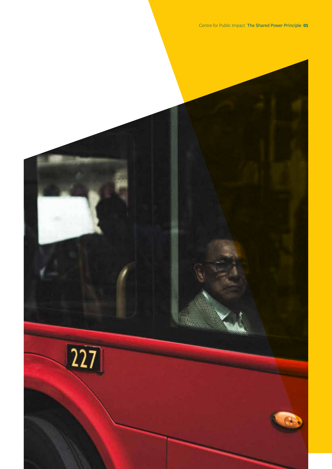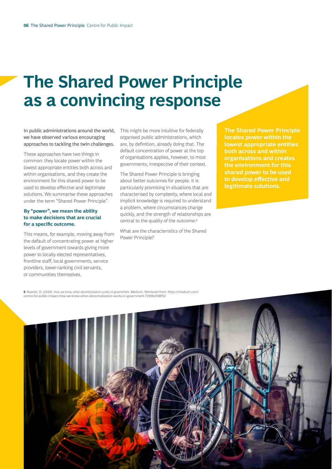# **The Shared Power Principle as a convincing response**

In public administrations around the world, we have observed various encouraging approaches to tackling the twin challenges.

These approaches have two things in common: they locate power within the lowest appropriate entities both across and within organisations, and they create the environment for this shared power to be used to develop effective and legitimate solutions. We summarise these approaches under the term "Shared Power Principle".

### **By "power", we mean the ability to make decisions that are crucial for a specific outcome.**

This means, for example, moving away from the default of concentrating power at higher levels of government towards giving more power to locally elected representatives, frontline staff, local governments, service providers, lower-ranking civil servants, or communities themselves.

This might be more intuitive for federally organised public administrations, which are, by definition, already doing that. The default concentration of power at the top of organisations applies, however, to most governments, irrespective of their context.

The Shared Power Principle is bringing about better outcomes for people. It is particularly promising in situations that are characterised by complexity, where local and implicit knowledge is required to understand a problem, where circumstances change quickly, and the strength of relationships are central to the quality of the outcome.6

What are the characteristics of the Shared Power Principle?

**The Shared Power Principle locates power within the lowest appropriate entities both across and within organisations and creates the environment for this shared power to be used to develop effective and legitimate solutions.** 

**6** Buerkli, D. (2019). *How we know when decentralization works in government.* Medium. Retrieved from: https://medium.com/ centre-for-public-impact/how-we-know-when-decentralization-works-in-government-7299bd7d8f50

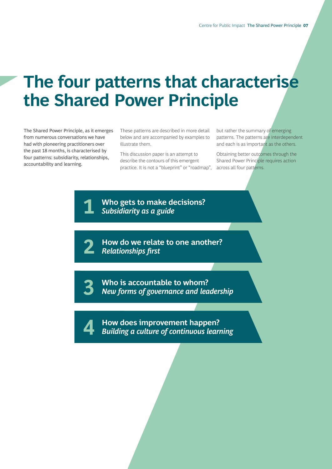# **The four patterns that characterise the Shared Power Principle**

The Shared Power Principle, as it emerges from numerous conversations we have had with pioneering practitioners over the past 18 months, is characterised by four patterns: subsidiarity, relationships, accountability and learning.

These patterns are described in more detail below and are accompanied by examples to illustrate them.

This discussion paper is an attempt to describe the contours of this emergent practice. It is not a "blueprint" or "roadmap",

but rather the summary of emerging patterns. The patterns are interdependent and each is as important as the others.

Obtaining better outcomes through the Shared Power Principle requires action across all four patterns.

**Who gets to make decisions? 1** *Subsidiarity as a guide*

**How do we relate to one another? 2** *Relationships first* 

**Who is accountable to whom? 3** *New forms of governance and leadership*

**How does improvement happen? 4** *Building a culture of continuous learning*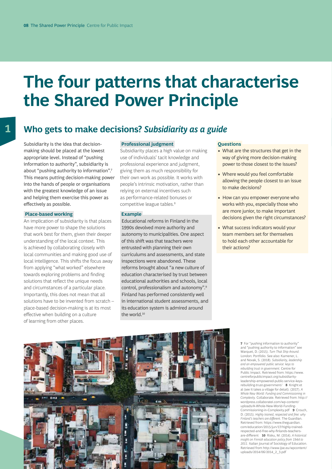### **The four patterns that characterise the Shared Power Principle**

### **1 2 Who gets to make decisions?** *Subsidiarity as a guide*

Subsidiarity is the idea that decisionmaking should be placed at the lowest appropriate level. Instead of "pushing information to authority", subsidiarity is about "pushing authority to information".7 This means putting decision-making power into the hands of people or organisations with the greatest knowledge of an issue and helping them exercise this power as effectively as possible.

### **Place-based working**

An implication of subsidiarity is that places have more power to shape the solutions that work best for them, given their deeper understanding of the local context. This is achieved by collaborating closely with local communities and making good use of local intelligence. This shifts the focus away from applying "what worked" elsewhere towards exploring problems and finding solutions that reflect the unique needs and circumstances of a particular place. Importantly, this does not mean that all solutions have to be invented from scratch – place-based decision-making is at its most effective when building on a culture of learning from other places.

### **Professional judgment**

Subsidiarity places a high value on making use of individuals' tacit knowledge and professional experience and judgment, giving them as much responsibility for their own work as possible. It works with people's intrinsic motivation, rather than relying on external incentives such as performance-related bonuses or competitive league tables.<sup>8</sup>

### **Example**

Educational reforms in Finland in the 1990s devolved more authority and autonomy to municipalities. One aspect of this shift was that teachers were entrusted with planning their own curriculums and assessments, and state inspections were abandoned. These reforms brought about "a new culture of education characterised by trust between educational authorities and schools, local control, professionalism and autonomy".9 Finland has performed consistently well in international student assessments, and its education system is admired around the world.<sup>10</sup>

#### **Questions**

- What are the structures that get in the way of giving more decision-making power to those closest to the issues?
- Where would you feel comfortable allowing the people closest to an issue to make decisions?
- How can you empower everyone who works with you, especially those who are more junior, to make important decisions given the right circumstances?
- What success indicators would your team members set for themselves to hold each other accountable for their actions?



**7** For "pushing information to authority" and "pushing authority to information" see Marquet, D. (2015). *Turn That Ship Around.*  London: Portfolio. See also: Kamener, L. and Novak, S. (2018). *Subsidiarity, leadership and an empowered public service: keys to rebuilding trust in government.* Centre for Public Impact. Retrieved from: https://www. centreforpublicimpact.org/subsidiarityleadership-empowered-public-service-keysrebuilding-trust-government/ **8** Knight et al (see It takes a village for detail). (2017). *A Whole New World: Funding and Commissioning in Complexity.* Collaborate. Retrieved from: http:// wordpress.collaboratei.com/wp-content/ uploads/A-Whole-New-World-Funding-Commissioning-in-Complexity.pdf **9** Crouch, D. (2015). *Highly trained, respected and free: why Finland's teachers are different.* The Guardian. Retrieved from: https://www.theguardian. com/education/2015/jun/17/highly-trainedrespected-and-free-why-finlands-teachersare-different **10** Risku, M. (2014). *A historical insight on Finnish education policy from 1944 to 2011.* Italian Journal of Sociology of Education. Retrieved from http://www.ijse.eu/wpcontent/ uploads/2014/06/2014\_2\_3.pdf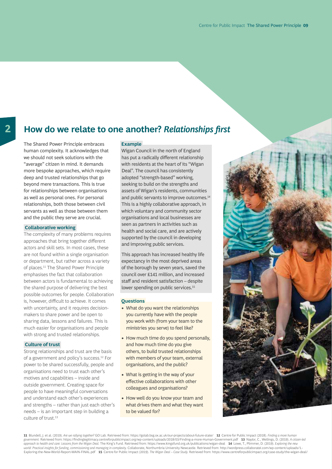### **How do we relate to one another?** *Relationships first*

The Shared Power Principle embraces human complexity. It acknowledges that we should not seek solutions with the "average" citizen in mind. It demands more bespoke approaches, which require deep and trusted relationships that go beyond mere transactions. This is true for relationships between organisations as well as personal ones. For personal relationships, both those between civil servants as well as those between them and the public they serve are crucial.

#### **Collaborative working**

The complexity of many problems requires approaches that bring together different actors and skill sets. In most cases, these are not found within a single organisation or department, but rather across a variety of places.11 The Shared Power Principle emphasises the fact that collaboration between actors is fundamental to achieving the shared purpose of delivering the best possible outcomes for people. Collaboration is, however, difficult to achieve. It comes with uncertainty, and it requires decisionmakers to share power and be open to sharing data, lessons and failures. This is much easier for organisations and people with strong and trusted relationships.

### **Culture of trust**

Strong relationships and trust are the basis of a government and policy's success.12 For power to be shared successfully, people and organisations need to trust each other's motives and capabilities – inside and outside government. Creating space for people to have meaningful conversations and understand each other's experiences and strengths – rather than just each other's needs – is an important step in building a culture of trust<sup>13</sup>

#### **Example**

Wigan Council in the north of England has put a radically different relationship with residents at the heart of its "Wigan Deal". The council has consistently adopted "strength-based" working, seeking to build on the strengths and assets of Wigan's residents, communities and public servants to improve outcomes.<sup>14</sup> This is a highly collaborative approach, in which voluntary and community sector organisations and local businesses are seen as partners in activities such as health and social care, and are actively supported by the council in developing and improving public services.

This approach has increased healthy life expectancy in the most deprived areas of the borough by seven years, saved the council over £141 million, and increased staff and resident satisfaction – despite lower spending on public services.<sup>15</sup>

#### **Questions**

- What do you want the relationships you currently have with the people you work with (from your team to the ministries you serve) to feel like?
- How much time do you spend personally, and how much time do you give others, to build trusted relationships with members of your team, external organisations, and the public?
- What is getting in the way of your effective collaborations with other colleagues and organisations?
- How well do you know your team and what drives them and what they want to be valued for?



11 Blundell, J. et al. (2019). Are we rallying together? GO Lab. Retrieved from: https://golab.bsg.ox.ac.uk/our-projects/about-future-state/ 12 Centre for Public Impact (2018). Finding a more human *government.* Retrieved from: https://findinglegitimacy.centreforpublicimpact.org/wp-content/uploads/2018/03/Finding-a-more-Human-Government.pdf **13** Naylor, C., Wellings, D. (2019). *A citizen-led approach to health and care: Lessons from the Wigan Deal.* The King's Fund. Retrieved from: https://www.kingsfund.org.uk/publications/wigan-deal **14** Lowe, T., Plimmer, D. (2019). *Exploring the new world: Practical insights for funding, commissioning and managing in complexity.* Collaborate, Northumbria University Newcastle. Retrieved from: http://wordpress.collaboratei.com/wp-content/uploads/1.- Exploring-the-New-World-Report-MAIN-FINAL.pdf **15** Centre for Public Impact (2019). *The Wigan Deal – Case Study.* Retrieved from: https://www.centreforpublicimpact.org/case-study/the-wigan-deal/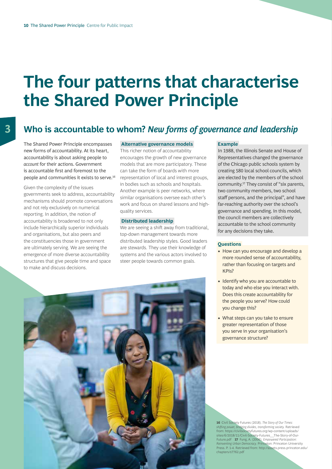### **The four patterns that characterise the Shared Power Principle**

### **3 4 Who is accountable to whom?** *New forms of governance and leadership*

The Shared Power Principle encompasses new forms of accountability. At its heart, accountability is about asking people to *account* for their actions. Government is accountable first and foremost to the people and communities it exists to serve.16

Given the complexity of the issues governments seek to address, accountability mechanisms should promote conversations and not rely exclusively on numerical reporting. In addition, the notion of accountability is broadened to not only include hierarchically superior individuals and organisations, but also peers and the constituencies those in government are ultimately serving. We are seeing the emergence of more diverse accountability structures that give people time and space to make and discuss decisions.

### **Alternative governance models**

This richer notion of accountability encourages the growth of new governance models that are more participatory. These can take the form of boards with more representation of local and interest groups, in bodies such as schools and hospitals. Another example is peer networks, where similar organisations oversee each other's work and focus on shared lessons and highquality services.

#### **Distributed leadership**

We are seeing a shift away from traditional, top-down management towards more distributed leadership styles. Good leaders are stewards. They use their knowledge of systems and the various actors involved to steer people towards common goals.

### **Example**

In 1988, the Illinois Senate and House of Representatives changed the governance of the Chicago public schools system by creating 580 local school councils, which are elected by the members of the school community.17 They consist of "six parents, two community members, two school staff persons, and the principal", and have far-reaching authority over the school's governance and spending. In this model, the council members are collectively accountable to the school community for any decisions they take.

#### **Questions**

- How can you encourage and develop a more rounded sense of accountability, rather than focusing on targets and KPIs?
- Identify who you are accountable to today and who else you interact with. Does this create accountability for the people you serve? How could you change this?
- What steps can you take to ensure greater representation of those you serve in your organisation's governance structure?

**16** Civil Society Futures (2018). *The Story of Our Times: shifting power, bridging divides, transforming society.* Retrieved from: https://civilsocietyfutures.org/wp-content/uploads/ sites/6/2018/11/Civil-Society-Futures\_\_The-Story-of-Our-Future.pdf **17** Fung, A. (2006). *Empowered Participation: Reinventing Urban Democracy.* Princeton: Princeton University Press. P. 1-4. Retrieved from: http://assets.press.princeton.edu/ chapters/s7762.pdf

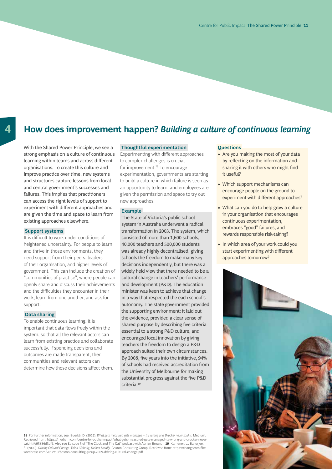### **How does improvement happen?** *Building a culture of continuous learning*

With the Shared Power Principle, we see a strong emphasis on a culture of continuous learning within teams and across different organisations. To create this culture and improve practice over time, new systems and structures capture lessons from local and central government's successes and failures. This implies that practitioners can access the right levels of support to experiment with different approaches and are given the time and space to learn from existing approaches elsewhere.

### **Support systems**

It is difficult to work under conditions of heightened uncertainty. For people to learn and thrive in those environments, they need support from their peers, leaders of their organisation, and higher levels of government. This can include the creation of "communities of practice", where people can openly share and discuss their achievements and the difficulties they encounter in their work, learn from one another, and ask for support.

### **Data sharing**

To enable continuous learning, it is important that data flows freely within the system, so that all the relevant actors can learn from existing practice and collaborate successfully. If spending decisions and outcomes are made transparent, then communities and relevant actors can determine how those decisions affect them.

#### **Thoughtful experimentation**

Experimenting with different approaches to complex challenges is crucial for improvement.18 To encourage experimentation, governments are starting to build a culture in which failure is seen as an opportunity to learn, and employees are given the permission and space to try out new approaches.

#### **Example**

The State of Victoria's public school system in Australia underwent a radical transformation in 2003. The system, which consisted of more than 1,600 schools, 40,000 teachers and 500,000 students was already highly decentralised, giving schools the freedom to make many key decisions independently, but there was a widely held view that there needed to be a cultural change in teachers' performance and development (P&D). The education minister was keen to achieve that change in a way that respected the each school's autonomy. The state government provided the supporting environment: it laid out the evidence, provided a clear sense of shared purpose by describing five criteria essential to a strong P&D culture, and encouraged local innovation by giving teachers the freedom to design a P&D approach suited their own circumstances. By 2008, five years into the initiative, 94% of schools had received accreditation from the University of Melbourne for making substantial progress against the five P&D criteria.19

#### **Questions**

- Are you making the most of your data by reflecting on the information and sharing it with others who might find it useful?
- Which support mechanisms can encourage people on the ground to experiment with different approaches?
- What can you do to help grow a culture in your organisation that encourages continuous experimentation, embraces "good" failures, and rewards responsible risk-taking?
- In which area of your work could you start experimenting with different approaches tomorrow?



**18** For further information, see: Buerkli, D. (2019). What gets *measured gets managed – It's wrong and Drucker never said it.* Medium.<br>Retrieved from: https://medium.com/centre-for-public-impact/what-gets-measured-gets-m said-it-fe95886d3df6. Also see Episode 5 of "The Clock and The Cat" podcast with Adrian Brown. **19** Kamener, L., Banerjee, S. (2009). *Driving Cultural Change. Think Globally, Deliver Locally.* Boston Consulting Group. Retrieved from: https://changecom.files. wordpress.com/2012/10/boston-consulting-group-2009-driving-cultural-change.pdf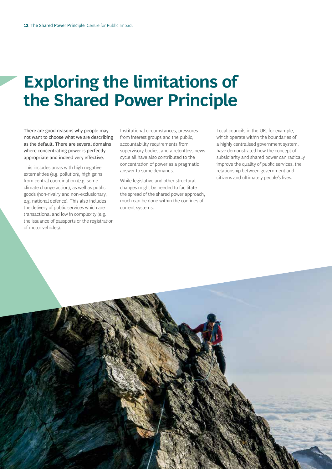# **Exploring the limitations of the Shared Power Principle**

There are good reasons why people may not want to choose what we are describing as the default. There are several domains where concentrating power is perfectly appropriate and indeed very effective.

This includes areas with high negative externalities (e.g. pollution), high gains from central coordination (e.g. some climate change action), as well as public goods (non-rivalry and non-exclusionary, e.g. national defence). This also includes the delivery of public services which are transactional and low in complexity (e.g. the issuance of passports or the registration of motor vehicles).

Institutional circumstances, pressures from interest groups and the public, accountability requirements from supervisory bodies, and a relentless news cycle all have also contributed to the concentration of power as a pragmatic answer to some demands.

While legislative and other structural changes might be needed to facilitate the spread of the shared power approach, much can be done within the confines of current systems.

Local councils in the UK, for example, which operate within the boundaries of a highly centralised government system, have demonstrated how the concept of subsidiarity and shared power can radically improve the quality of public services, the relationship between government and citizens and ultimately people's lives.

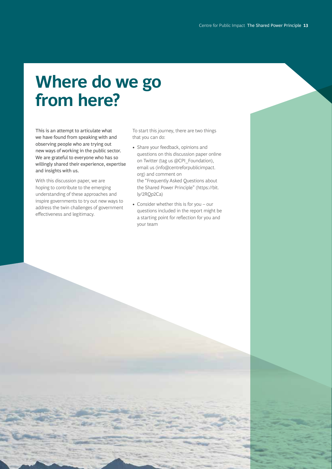# **Where do we go from here?**

This is an attempt to articulate what we have found from speaking with and observing people who are trying out new ways of working in the public sector. We are grateful to everyone who has so willingly shared their experience, expertise and insights with us.

With this discussion paper, we are hoping to contribute to the emerging understanding of these approaches and inspire governments to try out new ways to address the twin challenges of government effectiveness and legitimacy.

To start this journey, there are two things that you can do:

- Share your feedback, opinions and questions on this discussion paper online on Twitter (tag us @CPI\_Foundation), email us (info@centreforpublicimpact. org) and comment on the "Frequently Asked Questions about the Shared Power Principle" (https://bit. ly/2RQp2Ca)
- Consider whether this is for you our questions included in the report might be a starting point for reflection for you and your team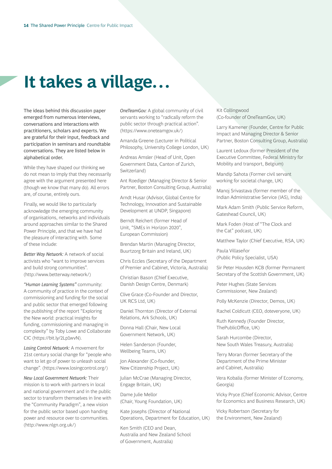### **It takes a village…**

The ideas behind this discussion paper emerged from numerous interviews, conversations and interactions with practitioners, scholars and experts. We are grateful for their input, feedback and participation in seminars and roundtable conversations. They are listed below in alphabetical order.

While they have shaped our thinking we do not mean to imply that they necessarily agree with the argument presented here (though we know that many do). All errors are, of course, entirely ours.

Finally, we would like to particularly acknowledge the emerging community of organisations, networks and individuals around approaches similar to the Shared Power Principle, and that we have had the pleasure of interacting with. Some of these include:

*Better Way Network:* A network of social activists who "want to improve services and build strong communities". (http://www.betterway.network/)

*"Human Learning Systems"* community: A community of practice in the context of commissioning and funding for the social and public sector that emerged following the publishing of the report "Exploring the New world: practical insights for funding, commissioning and managing in complexity" by Toby Lowe and Collaborate CIC (https://bit.ly/2Lp1wvN).

*Losing Control Network:* A movement for 21st century social change for "people who want to let go of power to unleash social change". (https://www.losingcontrol.org/)

*New Local Government Network:* Their mission is to work with partners in local and national government and in the public sector to transform themselves in line with the "Community Paradigm", a new vision for the public sector based upon handing power and resource over to communities. (http://www.nlgn.org.uk/)

*OneTeamGov:* A global community of civil servants working to "radically reform the public sector through practical action". (https://www.oneteamgov.uk/)

Amanda Greene (Lecturer in Political Philosophy, University College London, UK)

Andreas Amsler (Head of Unit, Open Government Data, Canton of Zurich, Switzerland)

Ant Roediger (Managing Director & Senior Partner, Boston Consulting Group, Australia)

Arndt Husar (Advisor, Global Centre for Technology, Innovation and Sustainable Development at UNDP, Singapore)

Berndt Reichert (former Head of Unit, "SMEs in Horizon 2020", European Commission)

Brendan Martin (Managing Director, Buurtzorg Britain and Ireland, UK)

Chris Eccles (Secretary of the Department of Premier and Cabinet, Victoria, Australia)

Christian Bason (Chief Executive, Danish Design Centre, Denmark)

Clive Grace (Co-Founder and Director, UK RCS Ltd, UK)

Daniel Thornton (Director of External Relations, Ark Schools, UK)

Donna Hall (Chair, New Local Government Network, UK)

Helen Sanderson (Founder, Wellbeing Teams, UK)

Jon Alexander (Co-founder, New Citizenship Project, UK)

Julian McCrae (Managing Director, Engage Britain, UK)

Dame Julie Mellor (Chair, Young Foundation, UK)

Kate Josephs (Director of National Operations, Department for Education, UK)

Ken Smith (CEO and Dean, Australia and New Zealand School of Government, Australia)

Kit Collingwood (Co-founder of OneTeamGov, UK)

Larry Kamener (Founder, Centre for Public Impact and Managing Director & Senior Partner, Boston Consulting Group, Australia)

Laurent Ledoux (former President of the Executive Committee, Federal Ministry for Mobility and transport, Belgium)

Mandip Sahota (Former civil servant working for societal change, UK)

Manoj Srivastava (former member of the Indian Administrative Service (IAS), India)

Mark Adam Smith (Public Service Reform, Gateshead Council, UK)

Mark Foden (Host of "The Clock and the Cat" podcast, UK)

Matthew Taylor (Chief Executive, RSA, UK)

Paula Villaseñor (Public Policy Specialist, USA)

Sir Peter Housden KCB (former Permanent Secretary of the Scottish Government, UK)

Peter Hughes (State Services Commissioner, New Zealand)

Polly McKenzie (Director, Demos, UK)

Rachel Coldicutt (CEO, doteveryone, UK)

Ruth Kennedy (Founder Director, ThePublicOffice, UK)

Sarah Hurcombe (Director, New South Wales Treasury, Australia)

Terry Moran (former Secretary of the Department of the Prime Minister and Cabinet, Australia)

Vera Kobalia (former Minister of Economy, Georgia)

Vicky Pryce (Chief Economic Advisor, Centre for Economics and Business Research, UK)

Vicky Robertson (Secretary for the Environment, New Zealand)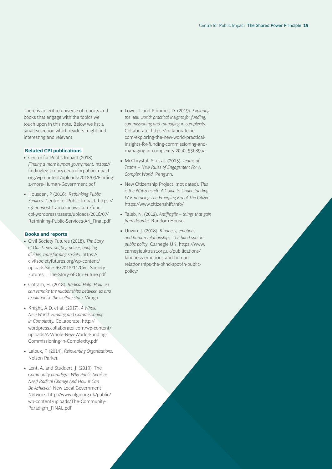There is an entire universe of reports and books that engage with the topics we touch upon in this note. Below we list a small selection which readers might find interesting and relevant.

### **Related CPI publications**

- Centre for Public Impact (2018). *Finding a more human government.* https:// findinglegitimacy.centreforpublicimpact. org/wp-content/uploads/2018/03/Findinga-more-Human-Government.pdf
- Housden, P (2016). *Rethinking Public Services.* Centre for Public Impact. https:// s3-eu-west-1.amazonaws.com/functcpi-wordpress/assets/uploads/2016/07/ Rethinking-Public-Services-A4\_Final.pdf

### **Books and reports**

- Civil Society Futures (2018). *The Story of Our Times: shifting power, bridging divides, transforming society.* https:// civilsocietyfutures.org/wp-content/ uploads/sites/6/2018/11/Civil-Society-Futures The-Story-of-Our-Future.pdf
- Cottam, H. (2018). *Radical Help: How we can remake the relationships between us and revolutionise the welfare state.* Virago.
- Knight, A.D. et al. (2017). *A Whole New World: Funding and Commissioning in Complexity.* Collaborate. http:// wordpress.collaboratei.com/wp-content/ uploads/A-Whole-New-World-Funding-Commissioning-in-Complexity.pdf
- Laloux, F. (2014). *Reinventing Organisations.* Nelson Parker.
- Lent, A. and Studdert, J. (2019). The *Community paradigm: Why Public Services Need Radical Change And How It Can Be Achieved.* New Local Government Network. http://www.nlgn.org.uk/public/ wp-content/uploads/The-Community-Paradigm\_FINAL.pdf
- Lowe, T. and Plimmer, D. (2019). *Exploring the new world: practical insights for funding, commissioning and managing in complexity.* Collaborate. https://collaboratecic. com/exploring-the-new-world-practicalinsights-for-funding-commissioning-andmanaging-in-complexity-20a0c53b89aa
- McChrystal, S. et al. (2015). *Teams of Teams – New Rules of Engagement For A Complex World.* Penguin.
- New Citizenship Project. (not dated). *This is the #Citizenshift: A Guide to Understanding & Embracing The Emerging Era of The Citizen.* https://www.citizenshift.info/
- Taleb, N. (2012). *Antifragile things that gain from disorder.* Random House.
- Unwin, J. (2018). *Kindness, emotions and human relationships: The blind spot in public policy.* Carnegie UK. https://www. carnegieuktrust.org.uk/pub lications/ kindness-emotions-and-humanrelationships-the-blind-spot-in-publicpolicy/